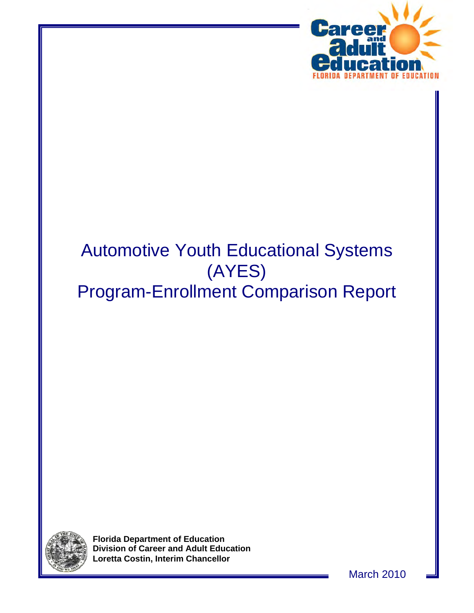

# Automotive Youth Educational Systems (AYES) Program-Enrollment Comparison Report



**Florida Department of Education Division of Career and Adult Education Loretta Costin, Interim Chancellor** 

March 2010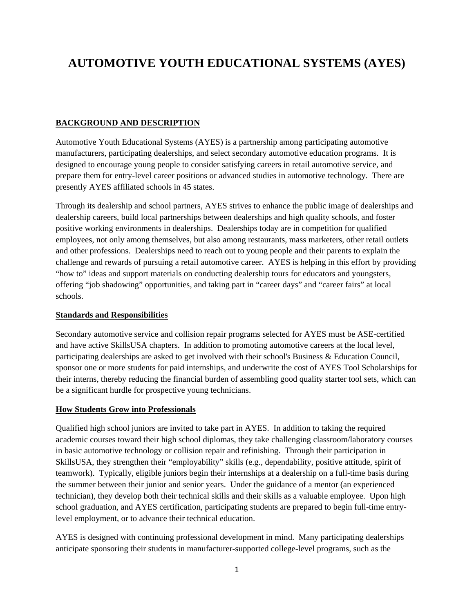# **AUTOMOTIVE YOUTH EDUCATIONAL SYSTEMS (AYES)**

# **BACKGROUND AND DESCRIPTION**

Automotive Youth Educational Systems (AYES) is a partnership among participating automotive manufacturers, participating dealerships, and select secondary automotive education programs. It is designed to encourage young people to consider satisfying careers in retail automotive service, and prepare them for entry-level career positions or advanced studies in automotive technology. There are presently AYES affiliated schools in 45 states.

Through its dealership and school partners, AYES strives to enhance the public image of dealerships and dealership careers, build local partnerships between dealerships and high quality schools, and foster positive working environments in dealerships. Dealerships today are in competition for qualified employees, not only among themselves, but also among restaurants, mass marketers, other retail outlets and other professions. Dealerships need to reach out to young people and their parents to explain the challenge and rewards of pursuing a retail automotive career. AYES is helping in this effort by providing "how to" ideas and support materials on conducting dealership tours for educators and youngsters, offering "job shadowing" opportunities, and taking part in "career days" and "career fairs" at local schools.

# **Standards and Responsibilities**

Secondary automotive service and collision repair programs selected for AYES must be ASE-certified and have active SkillsUSA chapters. In addition to promoting automotive careers at the local level, participating dealerships are asked to get involved with their school's Business & Education Council, sponsor one or more students for paid internships, and underwrite the cost of AYES Tool Scholarships for their interns, thereby reducing the financial burden of assembling good quality starter tool sets, which can be a significant hurdle for prospective young technicians.

# **How Students Grow into Professionals**

Qualified high school juniors are invited to take part in AYES. In addition to taking the required academic courses toward their high school diplomas, they take challenging classroom/laboratory courses in basic automotive technology or collision repair and refinishing. Through their participation in SkillsUSA, they strengthen their "employability" skills (e.g., dependability, positive attitude, spirit of teamwork). Typically, eligible juniors begin their internships at a dealership on a full-time basis during the summer between their junior and senior years. Under the guidance of a mentor (an experienced technician), they develop both their technical skills and their skills as a valuable employee. Upon high school graduation, and AYES certification, participating students are prepared to begin full-time entrylevel employment, or to advance their technical education.

AYES is designed with continuing professional development in mind. Many participating dealerships anticipate sponsoring their students in manufacturer-supported college-level programs, such as the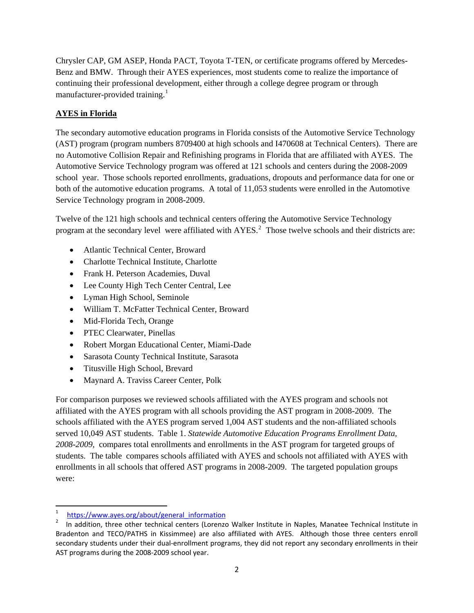Chrysler CAP, GM ASEP, Honda PACT, Toyota T-TEN, or certificate programs offered by Mercedes-Benz and BMW. Through their AYES experiences, most students come to realize the importance of continuing their professional development, either through a college degree program or through manufacturer-provided training.<sup>[1](#page-2-0)</sup>

# **AYES in Florida**

The secondary automotive education programs in Florida consists of the Automotive Service Technology (AST) program (program numbers 8709400 at high schools and I470608 at Technical Centers). There are no Automotive Collision Repair and Refinishing programs in Florida that are affiliated with AYES. The Automotive Service Technology program was offered at 121 schools and centers during the 2008-2009 school year. Those schools reported enrollments, graduations, dropouts and performance data for one or both of the automotive education programs. A total of 11,053 students were enrolled in the Automotive Service Technology program in 2008-2009.

Twelve of the 121 high schools and technical centers offering the Automotive Service Technology program at the secondary level were affiliated with  $AYES$ <sup>[2](#page-2-1)</sup>. Those twelve schools and their districts are:

- Atlantic Technical Center, Broward
- Charlotte Technical Institute, Charlotte
- Frank H. Peterson Academies, Duval
- Lee County High Tech Center Central, Lee
- Lyman High School, Seminole
- William T. McFatter Technical Center, Broward
- Mid-Florida Tech, Orange
- PTEC Clearwater, Pinellas
- Robert Morgan Educational Center, Miami-Dade
- Sarasota County Technical Institute, Sarasota
- Titusville High School, Brevard
- Maynard A. Traviss Career Center, Polk

For comparison purposes we reviewed schools affiliated with the AYES program and schools not affiliated with the AYES program with all schools providing the AST program in 2008-2009. The schools affiliated with the AYES program served 1,004 AST students and the non-affiliated schools served 10,049 AST students. Table 1. *Statewide Automotive Education Programs Enrollment Data, 2008-2009*, compares total enrollments and enrollments in the AST program for targeted groups of students. The table compares schools affiliated with AYES and schools not affiliated with AYES with enrollments in all schools that offered AST programs in 2008-2009. The targeted population groups were:

<span id="page-2-0"></span> 1  $\frac{1}{2}$  [https://www.ayes.org/about/general\\_information](https://www.ayes.org/about/general_information)  $\frac{2}{2}$  in addition, three other technical conterr (Lerenze

<span id="page-2-1"></span>In addition, three other technical centers (Lorenzo Walker Institute in Naples, Manatee Technical Institute in Bradenton and TECO/PATHS in Kissimmee) are also affiliated with AYES. Although those three centers enroll secondary students under their dual‐enrollment programs, they did not report any secondary enrollments in their AST programs during the 2008‐2009 school year.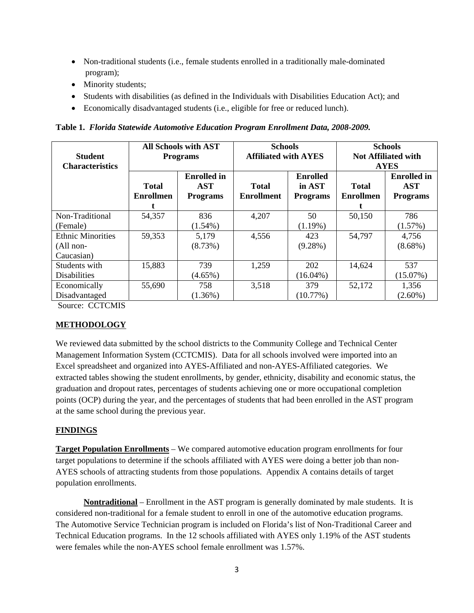- Non-traditional students (i.e., female students enrolled in a traditionally male-dominated program);
- Minority students;
- Students with disabilities (as defined in the Individuals with Disabilities Education Act); and
- Economically disadvantaged students (i.e., eligible for free or reduced lunch).

**Table 1.** *Florida Statewide Automotive Education Program Enrollment Data, 2008-2009.*

|                          |                  | <b>All Schools with AST</b> | <b>Schools</b>              |                 | <b>Schools</b><br><b>Not Affiliated with</b> |                    |  |  |
|--------------------------|------------------|-----------------------------|-----------------------------|-----------------|----------------------------------------------|--------------------|--|--|
| <b>Student</b>           |                  | <b>Programs</b>             | <b>Affiliated with AYES</b> |                 |                                              |                    |  |  |
| <b>Characteristics</b>   |                  |                             |                             |                 |                                              | <b>AYES</b>        |  |  |
|                          |                  | <b>Enrolled</b> in          |                             | <b>Enrolled</b> |                                              | <b>Enrolled</b> in |  |  |
|                          | <b>Total</b>     | AST                         | <b>Total</b>                | in AST          | <b>Total</b>                                 | <b>AST</b>         |  |  |
|                          | <b>Enrollmen</b> | <b>Programs</b>             | <b>Enrollment</b>           | <b>Programs</b> | <b>Enrollmen</b>                             | <b>Programs</b>    |  |  |
|                          |                  |                             |                             |                 |                                              |                    |  |  |
| Non-Traditional          | 54,357           | 836                         | 4,207                       | 50              | 50,150                                       | 786                |  |  |
| (Female)                 |                  | $(1.54\%)$                  |                             | $(1.19\%)$      |                                              | (1.57%)            |  |  |
| <b>Ethnic Minorities</b> | 59,353           | 5,179                       | 4,556                       | 423             | 54,797                                       | 4,756              |  |  |
| $(All non-$              |                  | (8.73%)                     |                             | $(9.28\%)$      |                                              | $(8.68\%)$         |  |  |
| Caucasian)               |                  |                             |                             |                 |                                              |                    |  |  |
| Students with            | 15,883           | 739                         | 1,259                       | 202             | 14,624                                       | 537                |  |  |
| <b>Disabilities</b>      |                  | $(4.65\%)$                  |                             | $(16.04\%)$     |                                              | $(15.07\%)$        |  |  |
| Economically             | 55,690           | 758                         | 3,518                       | 379             | 52,172                                       | 1,356              |  |  |
| Disadvantaged            |                  | $(1.36\%)$                  |                             | (10.77%)        |                                              | $(2.60\%)$         |  |  |

Source: CCTCMIS

# **METHODOLOGY**

We reviewed data submitted by the school districts to the Community College and Technical Center Management Information System (CCTCMIS). Data for all schools involved were imported into an Excel spreadsheet and organized into AYES-Affiliated and non-AYES-Affiliated categories. We extracted tables showing the student enrollments, by gender, ethnicity, disability and economic status, the graduation and dropout rates, percentages of students achieving one or more occupational completion points (OCP) during the year, and the percentages of students that had been enrolled in the AST program at the same school during the previous year.

# **FINDINGS**

**Target Population Enrollments** – We compared automotive education program enrollments for four target populations to determine if the schools affiliated with AYES were doing a better job than non-AYES schools of attracting students from those populations. Appendix A contains details of target population enrollments.

**Nontraditional** – Enrollment in the AST program is generally dominated by male students. It is considered non-traditional for a female student to enroll in one of the automotive education programs. The Automotive Service Technician program is included on Florida's list of Non-Traditional Career and Technical Education programs. In the 12 schools affiliated with AYES only 1.19% of the AST students were females while the non-AYES school female enrollment was 1.57%.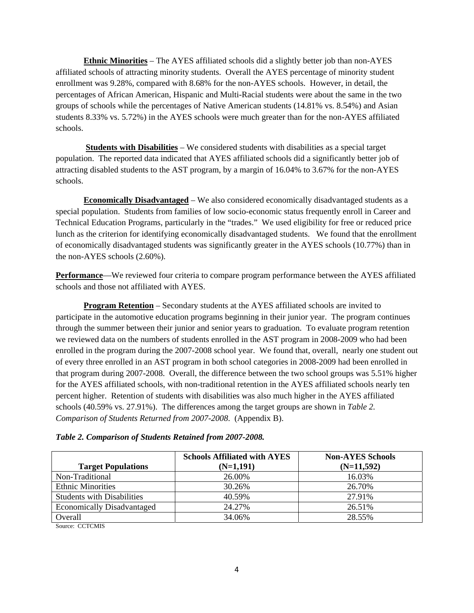**Ethnic Minorities** – The AYES affiliated schools did a slightly better job than non-AYES affiliated schools of attracting minority students. Overall the AYES percentage of minority student enrollment was 9.28%, compared with 8.68% for the non-AYES schools. However, in detail, the percentages of African American, Hispanic and Multi-Racial students were about the same in the two groups of schools while the percentages of Native American students (14.81% vs. 8.54%) and Asian students 8.33% vs. 5.72%) in the AYES schools were much greater than for the non-AYES affiliated schools.

**Students with Disabilities** – We considered students with disabilities as a special target population. The reported data indicated that AYES affiliated schools did a significantly better job of attracting disabled students to the AST program, by a margin of 16.04% to 3.67% for the non-AYES schools.

**Economically Disadvantaged** – We also considered economically disadvantaged students as a special population. Students from families of low socio-economic status frequently enroll in Career and Technical Education Programs, particularly in the "trades." We used eligibility for free or reduced price lunch as the criterion for identifying economically disadvantaged students. We found that the enrollment of economically disadvantaged students was significantly greater in the AYES schools (10.77%) than in the non-AYES schools (2.60%).

**Performance**—We reviewed four criteria to compare program performance between the AYES affiliated schools and those not affiliated with AYES.

**Program Retention** – Secondary students at the AYES affiliated schools are invited to participate in the automotive education programs beginning in their junior year. The program continues through the summer between their junior and senior years to graduation. To evaluate program retention we reviewed data on the numbers of students enrolled in the AST program in 2008-2009 who had been enrolled in the program during the 2007-2008 school year. We found that, overall, nearly one student out of every three enrolled in an AST program in both school categories in 2008-2009 had been enrolled in that program during 2007-2008. Overall, the difference between the two school groups was 5.51% higher for the AYES affiliated schools, with non-traditional retention in the AYES affiliated schools nearly ten percent higher. Retention of students with disabilities was also much higher in the AYES affiliated schools (40.59% vs. 27.91%). The differences among the target groups are shown in *Table 2. Comparison of Students Returned from 2007-2008*. (Appendix B).

|                                   | <b>Schools Affiliated with AYES</b> | <b>Non-AYES Schools</b> |
|-----------------------------------|-------------------------------------|-------------------------|
| <b>Target Populations</b>         | $(N=1,191)$                         | $(N=11,592)$            |
| Non-Traditional                   | 26.00%                              | 16.03%                  |
| <b>Ethnic Minorities</b>          | 30.26%                              | 26.70%                  |
| <b>Students with Disabilities</b> | 40.59%                              | 27.91%                  |
| <b>Economically Disadvantaged</b> | 24.27%                              | 26.51%                  |
| Overall                           | 34.06%                              | 28.55%                  |

*Table 2. Comparison of Students Retained from 2007-2008.*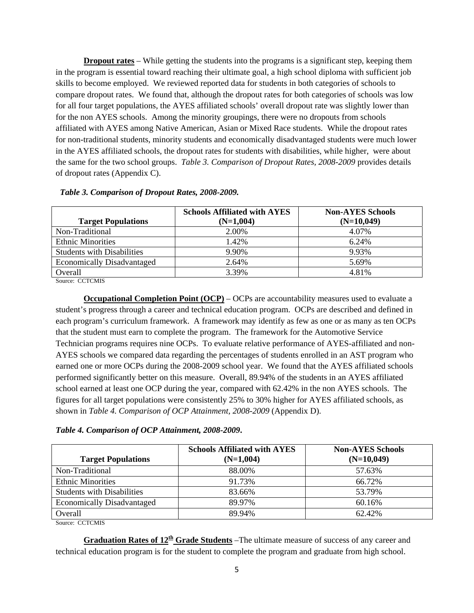**Dropout rates** – While getting the students into the programs is a significant step, keeping them in the program is essential toward reaching their ultimate goal, a high school diploma with sufficient job skills to become employed. We reviewed reported data for students in both categories of schools to compare dropout rates. We found that, although the dropout rates for both categories of schools was low for all four target populations, the AYES affiliated schools' overall dropout rate was slightly lower than for the non AYES schools. Among the minority groupings, there were no dropouts from schools affiliated with AYES among Native American, Asian or Mixed Race students. While the dropout rates for non-traditional students, minority students and economically disadvantaged students were much lower in the AYES affiliated schools, the dropout rates for students with disabilities, while higher, were about the same for the two school groups. *Table 3. Comparison of Dropout Rates, 2008-2009* provides details of dropout rates (Appendix C).

|                                   | <b>Schools Affiliated with AYES</b> | <b>Non-AYES Schools</b> |
|-----------------------------------|-------------------------------------|-------------------------|
| <b>Target Populations</b>         | $(N=1,004)$                         | $(N=10,049)$            |
| Non-Traditional                   | 2.00%                               | 4.07%                   |
| <b>Ethnic Minorities</b>          | 1.42%                               | 6.24%                   |
| <b>Students with Disabilities</b> | 9.90%                               | 9.93%                   |
| <b>Economically Disadvantaged</b> | 2.64%                               | 5.69%                   |
| Overall                           | 3.39%                               | 4.81%                   |

#### *Table 3. Comparison of Dropout Rates, 2008-2009.*

Source: CCTCMIS

**Occupational Completion Point (OCP)** – OCPs are accountability measures used to evaluate a student's progress through a career and technical education program. OCPs are described and defined in each program's curriculum framework. A framework may identify as few as one or as many as ten OCPs that the student must earn to complete the program. The framework for the Automotive Service Technician programs requires nine OCPs. To evaluate relative performance of AYES-affiliated and non-AYES schools we compared data regarding the percentages of students enrolled in an AST program who earned one or more OCPs during the 2008-2009 school year. We found that the AYES affiliated schools performed significantly better on this measure. Overall, 89.94% of the students in an AYES affiliated school earned at least one OCP during the year, compared with 62.42% in the non AYES schools. The figures for all target populations were consistently 25% to 30% higher for AYES affiliated schools, as shown in *Table 4. Comparison of OCP Attainment, 2008-2009* (Appendix D).

#### *Table 4. Comparison of OCP Attainment, 2008-2009***.**

|                                   | <b>Schools Affiliated with AYES</b> | <b>Non-AYES Schools</b> |
|-----------------------------------|-------------------------------------|-------------------------|
| <b>Target Populations</b>         | $(N=1,004)$                         | $(N=10,049)$            |
| Non-Traditional                   | 88.00%                              | 57.63%                  |
| <b>Ethnic Minorities</b>          | 91.73%                              | 66.72%                  |
| <b>Students with Disabilities</b> | 83.66%                              | 53.79%                  |
| <b>Economically Disadvantaged</b> | 89.97%                              | 60.16%                  |
| Overall                           | 89.94%                              | 62.42%                  |

Source: CCTCMIS

**Graduation Rates of 12th Grade Students** –The ultimate measure of success of any career and technical education program is for the student to complete the program and graduate from high school.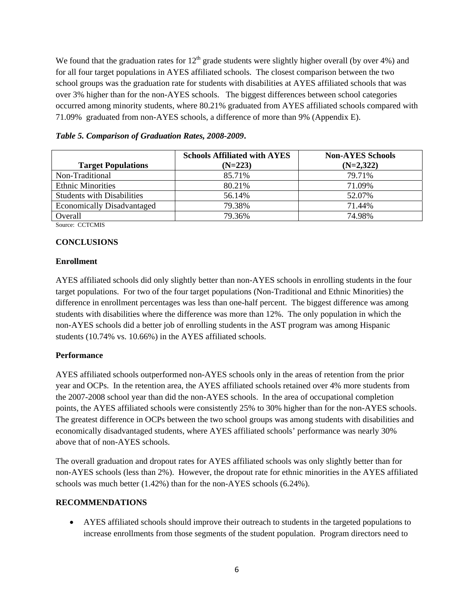We found that the graduation rates for  $12<sup>th</sup>$  grade students were slightly higher overall (by over 4%) and for all four target populations in AYES affiliated schools. The closest comparison between the two school groups was the graduation rate for students with disabilities at AYES affiliated schools that was over 3% higher than for the non-AYES schools. The biggest differences between school categories occurred among minority students, where 80.21% graduated from AYES affiliated schools compared with 71.09% graduated from non-AYES schools, a difference of more than 9% (Appendix E).

|                                   | <b>Schools Affiliated with AYES</b> | <b>Non-AYES Schools</b> |
|-----------------------------------|-------------------------------------|-------------------------|
| <b>Target Populations</b>         | $(N=223)$                           | $(N=2,322)$             |
| Non-Traditional                   | 85.71%                              | 79.71%                  |
| <b>Ethnic Minorities</b>          | 80.21%                              | 71.09%                  |
| <b>Students with Disabilities</b> | 56.14%                              | 52.07%                  |
| <b>Economically Disadvantaged</b> | 79.38%                              | 71.44%                  |
| Overall                           | 79.36%                              | 74.98%                  |

*Table 5. Comparison of Graduation Rates, 2008-2009***.** 

Source: CCTCMIS

#### **CONCLUSIONS**

#### **Enrollment**

AYES affiliated schools did only slightly better than non-AYES schools in enrolling students in the four target populations. For two of the four target populations (Non-Traditional and Ethnic Minorities) the difference in enrollment percentages was less than one-half percent. The biggest difference was among students with disabilities where the difference was more than 12%. The only population in which the non-AYES schools did a better job of enrolling students in the AST program was among Hispanic students (10.74% vs. 10.66%) in the AYES affiliated schools.

#### **Performance**

AYES affiliated schools outperformed non-AYES schools only in the areas of retention from the prior year and OCPs. In the retention area, the AYES affiliated schools retained over 4% more students from the 2007-2008 school year than did the non-AYES schools. In the area of occupational completion points, the AYES affiliated schools were consistently 25% to 30% higher than for the non-AYES schools. The greatest difference in OCPs between the two school groups was among students with disabilities and economically disadvantaged students, where AYES affiliated schools' performance was nearly 30% above that of non-AYES schools.

The overall graduation and dropout rates for AYES affiliated schools was only slightly better than for non-AYES schools (less than 2%). However, the dropout rate for ethnic minorities in the AYES affiliated schools was much better (1.42%) than for the non-AYES schools (6.24%).

#### **RECOMMENDATIONS**

• AYES affiliated schools should improve their outreach to students in the targeted populations to increase enrollments from those segments of the student population. Program directors need to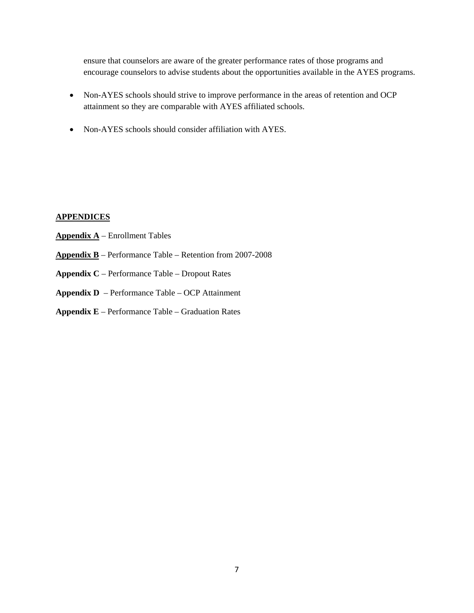ensure that counselors are aware of the greater performance rates of those programs and encourage counselors to advise students about the opportunities available in the AYES programs.

- Non-AYES schools should strive to improve performance in the areas of retention and OCP attainment so they are comparable with AYES affiliated schools.
- Non-AYES schools should consider affiliation with AYES.

#### **APPENDICES**

- **Appendix A** Enrollment Tables
- **Appendix B** Performance Table Retention from 2007-2008
- **Appendix C** Performance Table Dropout Rates
- **Appendix D** Performance Table OCP Attainment
- **Appendix E** Performance Table Graduation Rates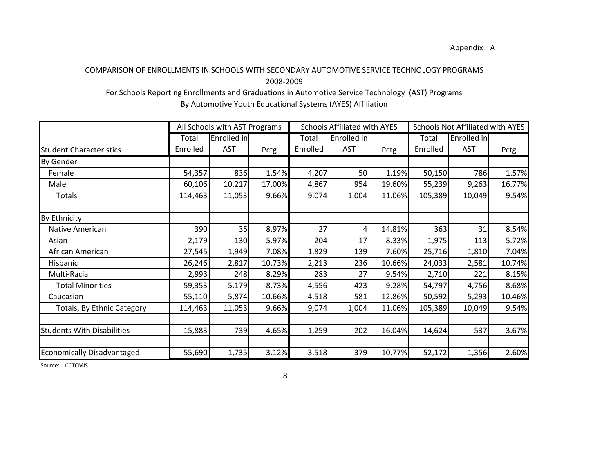# COMPARISON OF ENROLLMENTS IN SCHOOLS WITH SECONDARY AUTOMOTIVE SERVICE TECHNOLOGY PROGRAMS 2008‐2009

For Schools Reporting Enrollments and Graduations in Automotive Service Technology (AST) Programs By Automotive Youth Educational Systems (AYES) Affiliation

|                                   |          | All Schools with AST Programs |        |          | <b>Schools Affiliated with AYES</b> |        |          | Schools Not Affiliated with AYES |        |  |
|-----------------------------------|----------|-------------------------------|--------|----------|-------------------------------------|--------|----------|----------------------------------|--------|--|
|                                   | Total    | Enrolled in                   |        | Total    | <b>Enrolled</b> in                  |        | Total    | Enrolled in                      |        |  |
| <b>Student Characteristics</b>    | Enrolled | <b>AST</b>                    | Pctg   | Enrolled | <b>AST</b>                          | Pctg   | Enrolled | <b>AST</b>                       | Pctg   |  |
| By Gender                         |          |                               |        |          |                                     |        |          |                                  |        |  |
| Female                            | 54,357   | 836                           | 1.54%  | 4,207    | 50                                  | 1.19%  | 50,150   | 786                              | 1.57%  |  |
| Male                              | 60,106   | 10,217                        | 17.00% | 4,867    | 954                                 | 19.60% | 55,239   | 9,263                            | 16.77% |  |
| Totals                            | 114,463  | 11,053                        | 9.66%  | 9,074    | 1,004                               | 11.06% | 105,389  | 10,049                           | 9.54%  |  |
| By Ethnicity                      |          |                               |        |          |                                     |        |          |                                  |        |  |
| Native American                   | 390      | 35                            | 8.97%  | 27       | 4                                   | 14.81% | 363      | 31                               | 8.54%  |  |
| Asian                             | 2,179    | 130                           | 5.97%  | 204      | 17                                  | 8.33%  | 1,975    | 113                              | 5.72%  |  |
| African American                  | 27,545   | 1,949                         | 7.08%  | 1,829    | 139                                 | 7.60%  | 25,716   | 1,810                            | 7.04%  |  |
| Hispanic                          | 26,246   | 2,817                         | 10.73% | 2,213    | 236                                 | 10.66% | 24,033   | 2,581                            | 10.74% |  |
| Multi-Racial                      | 2,993    | 248                           | 8.29%  | 283      | 27                                  | 9.54%  | 2,710    | 221                              | 8.15%  |  |
| <b>Total Minorities</b>           | 59,353   | 5,179                         | 8.73%  | 4,556    | 423                                 | 9.28%  | 54,797   | 4,756                            | 8.68%  |  |
| Caucasian                         | 55,110   | 5,874                         | 10.66% | 4,518    | 581                                 | 12.86% | 50,592   | 5,293                            | 10.46% |  |
| Totals, By Ethnic Category        | 114,463  | 11,053                        | 9.66%  | 9,074    | 1,004                               | 11.06% | 105,389  | 10,049                           | 9.54%  |  |
| <b>Students With Disabilities</b> | 15,883   | 739                           | 4.65%  | 1,259    | 202                                 | 16.04% | 14,624   | 537                              | 3.67%  |  |
|                                   |          |                               |        |          |                                     |        |          |                                  |        |  |
| <b>Economically Disadvantaged</b> | 55,690   | 1,735                         | 3.12%  | 3,518    | 379                                 | 10.77% | 52,172   | 1,356                            | 2.60%  |  |

Source: CCTCMIS

8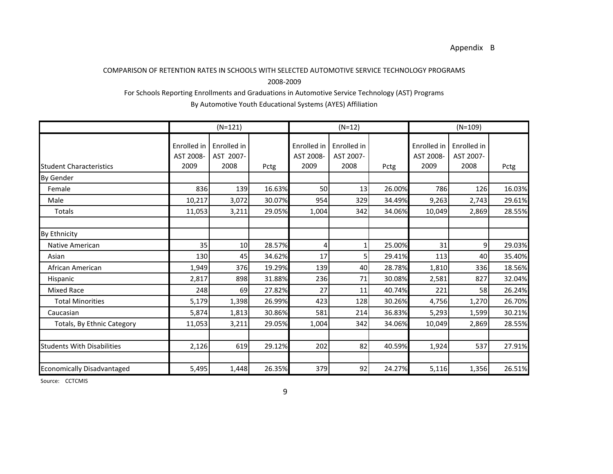# Appendix B

#### COMPARISON OF RETENTION RATES IN SCHOOLS WITH SELECTED AUTOMOTIVE SERVICE TECHNOLOGY PROGRAMS 2008‐2009

For Schools Reporting Enrollments and Graduations in Automotive Service Technology (AST) Programs

By Automotive Youth Educational Systems (AYES) Affiliation

|                                   |                                  | $(N=121)$                        |        | $(N=12)$                         |                                  |        | $(N=109)$                        |                                  |        |
|-----------------------------------|----------------------------------|----------------------------------|--------|----------------------------------|----------------------------------|--------|----------------------------------|----------------------------------|--------|
| <b>Student Characteristics</b>    | Enrolled in<br>AST 2008-<br>2009 | Enrolled in<br>AST 2007-<br>2008 | Pctg   | Enrolled in<br>AST 2008-<br>2009 | Enrolled in<br>AST 2007-<br>2008 | Pctg   | Enrolled in<br>AST 2008-<br>2009 | Enrolled in<br>AST 2007-<br>2008 | Pctg   |
| <b>By Gender</b>                  |                                  |                                  |        |                                  |                                  |        |                                  |                                  |        |
| Female                            | 836                              | 139                              | 16.63% | 50                               | 13                               | 26.00% | 786                              | 126                              | 16.03% |
| Male                              | 10,217                           | 3,072                            | 30.07% | 954                              | 329                              | 34.49% | 9,263                            | 2,743                            | 29.61% |
| Totals                            | 11,053                           | 3,211                            | 29.05% | 1,004                            | 342                              | 34.06% | 10,049                           | 2,869                            | 28.55% |
| By Ethnicity                      |                                  |                                  |        |                                  |                                  |        |                                  |                                  |        |
| Native American                   | 35                               | 10                               | 28.57% | Δ                                |                                  | 25.00% | 31                               | 9                                | 29.03% |
| Asian                             | 130                              | 45                               | 34.62% | 17                               |                                  | 29.41% | 113                              | 40                               | 35.40% |
| African American                  | 1,949                            | 376                              | 19.29% | 139                              | 40                               | 28.78% | 1,810                            | 336                              | 18.56% |
| Hispanic                          | 2,817                            | 898                              | 31.88% | 236                              | 71                               | 30.08% | 2,581                            | 827                              | 32.04% |
| <b>Mixed Race</b>                 | 248                              | 69                               | 27.82% | 27                               | 11                               | 40.74% | 221                              | 58                               | 26.24% |
| <b>Total Minorities</b>           | 5,179                            | 1,398                            | 26.99% | 423                              | 128                              | 30.26% | 4,756                            | 1,270                            | 26.70% |
| Caucasian                         | 5,874                            | 1,813                            | 30.86% | 581                              | 214                              | 36.83% | 5,293                            | 1,599                            | 30.21% |
| Totals, By Ethnic Category        | 11,053                           | 3,211                            | 29.05% | 1,004                            | 342                              | 34.06% | 10,049                           | 2,869                            | 28.55% |
| <b>Students With Disabilities</b> | 2,126                            | 619                              | 29.12% | 202                              | 82                               | 40.59% | 1,924                            | 537                              | 27.91% |
| <b>Economically Disadvantaged</b> | 5,495                            | 1,448                            | 26.35% | 379                              | 92                               | 24.27% | 5,116                            | 1,356                            | 26.51% |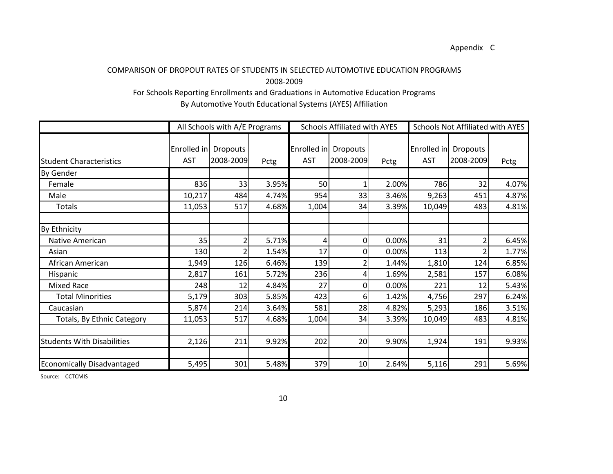# Appendix C

# COMPARISON OF DROPOUT RATES OF STUDENTS IN SELECTED AUTOMOTIVE EDUCATION PROGRAMS 2008‐2009

For Schools Reporting Enrollments and Graduations in Automotive Education Programs By Automotive Youth Educational Systems (AYES) Affiliation

|                                   |                           | All Schools with A/E Programs |       |                           | <b>Schools Affiliated with AYES</b> |       |                           | Schools Not Affiliated with AYES |       |
|-----------------------------------|---------------------------|-------------------------------|-------|---------------------------|-------------------------------------|-------|---------------------------|----------------------------------|-------|
| <b>Student Characteristics</b>    | Enrolled in<br><b>AST</b> | <b>Dropouts</b><br>2008-2009  | Pctg  | Enrolled in<br><b>AST</b> | <b>Dropouts</b><br>2008-2009        | Pctg  | Enrolled in<br><b>AST</b> | Dropouts<br>2008-2009            | Pctg  |
| <b>By Gender</b>                  |                           |                               |       |                           |                                     |       |                           |                                  |       |
| Female                            | 836                       | 33                            | 3.95% | 50                        |                                     | 2.00% | 786                       | 32                               | 4.07% |
| Male                              | 10,217                    | 484                           | 4.74% | 954                       | 33                                  | 3.46% | 9,263                     | 451                              | 4.87% |
| Totals                            | 11,053                    | 517                           | 4.68% | 1,004                     | 34                                  | 3.39% | 10,049                    | 483                              | 4.81% |
| <b>By Ethnicity</b>               |                           |                               |       |                           |                                     |       |                           |                                  |       |
| Native American                   | 35                        |                               | 5.71% | 4                         | 0                                   | 0.00% | 31                        |                                  | 6.45% |
| Asian                             | 130                       |                               | 1.54% | 17                        | C                                   | 0.00% | 113                       |                                  | 1.77% |
| African American                  | 1,949                     | 126                           | 6.46% | 139                       |                                     | 1.44% | 1,810                     | 124                              | 6.85% |
| Hispanic                          | 2,817                     | 161                           | 5.72% | 236                       |                                     | 1.69% | 2,581                     | 157                              | 6.08% |
| Mixed Race                        | 248                       | 12                            | 4.84% | 27                        | 0                                   | 0.00% | 221                       | 12                               | 5.43% |
| <b>Total Minorities</b>           | 5,179                     | 303                           | 5.85% | 423                       | 6                                   | 1.42% | 4,756                     | 297                              | 6.24% |
| Caucasian                         | 5,874                     | 214                           | 3.64% | 581                       | 28                                  | 4.82% | 5,293                     | 186                              | 3.51% |
| Totals, By Ethnic Category        | 11,053                    | 517                           | 4.68% | 1,004                     | 34                                  | 3.39% | 10,049                    | 483                              | 4.81% |
| <b>Students With Disabilities</b> | 2,126                     | 211                           | 9.92% | 202                       | 20                                  | 9.90% | 1,924                     | 191                              | 9.93% |
|                                   |                           |                               |       |                           |                                     |       |                           |                                  |       |
| <b>Economically Disadvantaged</b> | 5,495                     | 301                           | 5.48% | 379                       | 10                                  | 2.64% | 5,116                     | 291                              | 5.69% |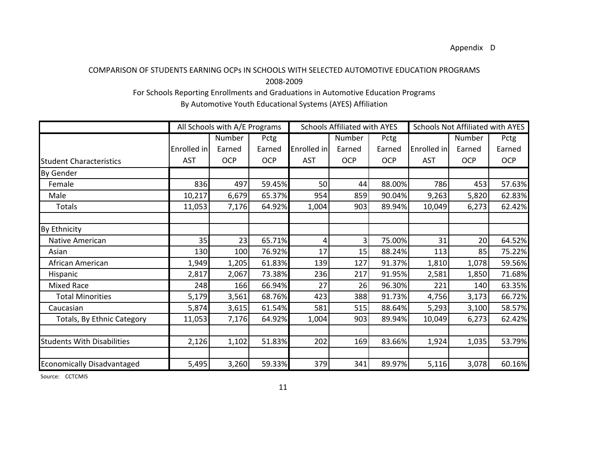#### COMPARISON OF STUDENTS EARNING OCPs IN SCHOOLS WITH SELECTED AUTOMOTIVE EDUCATION PROGRAMS 2008‐2009

For Schools Reporting Enrollments and Graduations in Automotive Education Programs By Automotive Youth Educational Systems (AYES) Affiliation

|                                   | All Schools with A/E Programs |            |            | <b>Schools Affiliated with AYES</b> |            |            | <b>Schools Not Affiliated with AYES</b> |            |            |
|-----------------------------------|-------------------------------|------------|------------|-------------------------------------|------------|------------|-----------------------------------------|------------|------------|
|                                   |                               | Number     | Pctg       |                                     | Number     | Pctg       |                                         | Number     | Pctg       |
|                                   | Enrolled in                   | Earned     | Earned     | Enrolled in                         | Earned     | Earned     | Enrolled in                             | Earned     | Earned     |
| <b>Student Characteristics</b>    | <b>AST</b>                    | <b>OCP</b> | <b>OCP</b> | <b>AST</b>                          | <b>OCP</b> | <b>OCP</b> | <b>AST</b>                              | <b>OCP</b> | <b>OCP</b> |
| By Gender                         |                               |            |            |                                     |            |            |                                         |            |            |
| Female                            | 836                           | 497        | 59.45%     | 50                                  | 44         | 88.00%     | 786                                     | 453        | 57.63%     |
| Male                              | 10,217                        | 6,679      | 65.37%     | 954                                 | 859        | 90.04%     | 9,263                                   | 5,820      | 62.83%     |
| Totals                            | 11,053                        | 7,176      | 64.92%     | 1,004                               | 903        | 89.94%     | 10,049                                  | 6,273      | 62.42%     |
| By Ethnicity                      |                               |            |            |                                     |            |            |                                         |            |            |
| Native American                   | 35                            | 23         | 65.71%     | 4                                   | 3          | 75.00%     | 31                                      | 20         | 64.52%     |
| Asian                             | 130                           | 100        | 76.92%     | 17                                  | 15         | 88.24%     | 113                                     | 85         | 75.22%     |
| African American                  | 1,949                         | 1,205      | 61.83%     | 139                                 | 127        | 91.37%     | 1,810                                   | 1,078      | 59.56%     |
| Hispanic                          | 2,817                         | 2,067      | 73.38%     | 236                                 | 217        | 91.95%     | 2,581                                   | 1,850      | 71.68%     |
| Mixed Race                        | 248                           | 166        | 66.94%     | 27                                  | 26         | 96.30%     | 221                                     | 140        | 63.35%     |
| <b>Total Minorities</b>           | 5,179                         | 3,561      | 68.76%     | 423                                 | 388        | 91.73%     | 4,756                                   | 3,173      | 66.72%     |
| Caucasian                         | 5,874                         | 3,615      | 61.54%     | 581                                 | 515        | 88.64%     | 5,293                                   | 3,100      | 58.57%     |
| Totals, By Ethnic Category        | 11,053                        | 7,176      | 64.92%     | 1,004                               | 903        | 89.94%     | 10,049                                  | 6,273      | 62.42%     |
|                                   |                               |            |            |                                     |            |            |                                         |            |            |
| <b>Students With Disabilities</b> | 2,126                         | 1,102      | 51.83%     | 202                                 | 169        | 83.66%     | 1,924                                   | 1,035      | 53.79%     |
| <b>Economically Disadvantaged</b> | 5,495                         | 3,260      | 59.33%     | 379                                 | 341        | 89.97%     | 5,116                                   | 3,078      | 60.16%     |